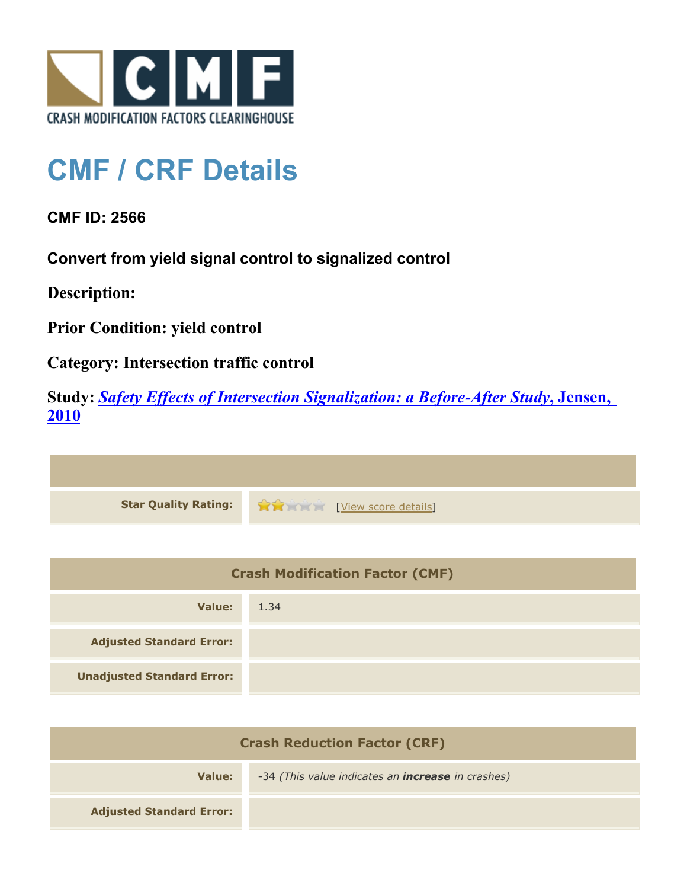

## **CMF / CRF Details**

**CMF ID: 2566**

**Convert from yield signal control to signalized control**

**Description:** 

**Prior Condition: yield control**

**Category: Intersection traffic control**

**Study:** *[Safety Effects of Intersection Signalization: a Before-After Study](http://www.cmfclearinghouse.org/study_detail.cfm?stid=170)***[, Jensen,](http://www.cmfclearinghouse.org/study_detail.cfm?stid=170) [2010](http://www.cmfclearinghouse.org/study_detail.cfm?stid=170)**



| <b>Crash Modification Factor (CMF)</b> |      |
|----------------------------------------|------|
| Value:                                 | 1.34 |
| <b>Adjusted Standard Error:</b>        |      |
| <b>Unadjusted Standard Error:</b>      |      |

| <b>Crash Reduction Factor (CRF)</b> |                                                          |
|-------------------------------------|----------------------------------------------------------|
| Value:                              | -34 (This value indicates an <b>increase</b> in crashes) |
| <b>Adjusted Standard Error:</b>     |                                                          |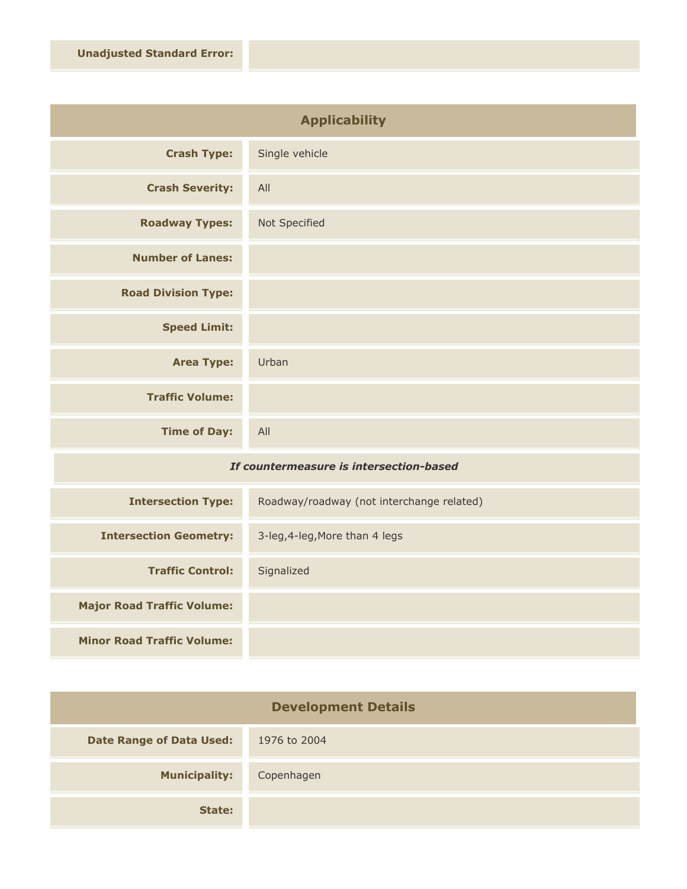| <b>Applicability</b>       |                |
|----------------------------|----------------|
| <b>Crash Type:</b>         | Single vehicle |
| <b>Crash Severity:</b>     | All            |
| <b>Roadway Types:</b>      | Not Specified  |
| <b>Number of Lanes:</b>    |                |
| <b>Road Division Type:</b> |                |
| <b>Speed Limit:</b>        |                |
| <b>Area Type:</b>          | Urban          |
| <b>Traffic Volume:</b>     |                |
| <b>Time of Day:</b>        | All            |

## *If countermeasure is intersection-based*

| <b>Intersection Type:</b>         | Roadway/roadway (not interchange related) |
|-----------------------------------|-------------------------------------------|
| <b>Intersection Geometry:</b>     | 3-leg, 4-leg, More than 4 legs            |
| <b>Traffic Control:</b>           | Signalized                                |
| <b>Major Road Traffic Volume:</b> |                                           |
| <b>Minor Road Traffic Volume:</b> |                                           |

| <b>Development Details</b>      |              |
|---------------------------------|--------------|
| <b>Date Range of Data Used:</b> | 1976 to 2004 |
| <b>Municipality:</b>            | Copenhagen   |
| State:                          |              |